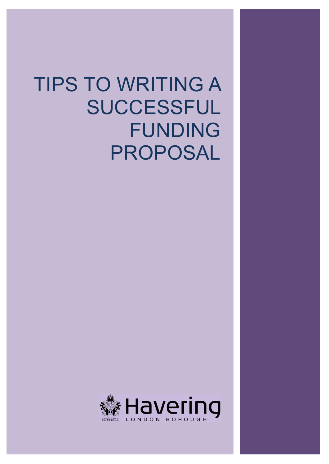# TIPS TO WRITING A SUCCESSFUL FUNDING PROPOSAL

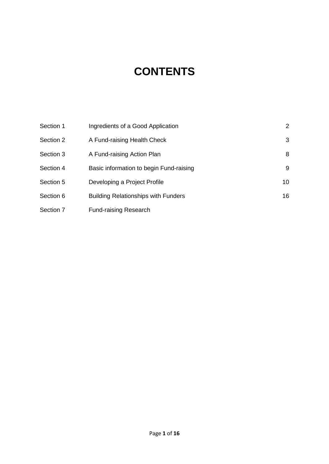# **CONTENTS**

| Section 1 | Ingredients of a Good Application          | $\mathbf{2}$    |
|-----------|--------------------------------------------|-----------------|
| Section 2 | A Fund-raising Health Check                | 3               |
| Section 3 | A Fund-raising Action Plan                 | 8               |
| Section 4 | Basic information to begin Fund-raising    | 9               |
| Section 5 | Developing a Project Profile               | 10 <sup>°</sup> |
| Section 6 | <b>Building Relationships with Funders</b> | 16              |
| Section 7 | <b>Fund-raising Research</b>               |                 |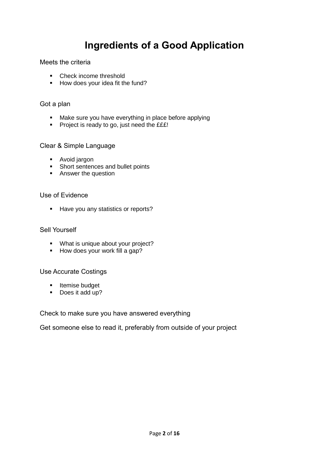# **Ingredients of a Good Application**

Meets the criteria

- Check income threshold
- How does your idea fit the fund?

#### Got a plan

- Make sure you have everything in place before applying
- **Project is ready to go, just need the EEE!**

#### Clear & Simple Language

- **Avoid jargon**
- Short sentences and bullet points
- **Answer the question**

### Use of Evidence

Have you any statistics or reports?

#### Sell Yourself

- **What is unique about your project?**
- $\blacksquare$  How does your work fill a gap?

### Use Accurate Costings

- **Itemise budget**
- Does it add up?

#### Check to make sure you have answered everything

Get someone else to read it, preferably from outside of your project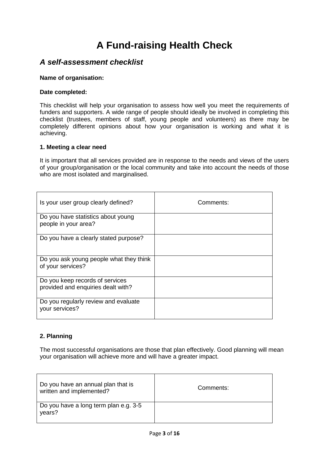# **A Fund-raising Health Check**

### *A self-assessment checklist*

#### **Name of organisation:**

#### **Date completed:**

This checklist will help your organisation to assess how well you meet the requirements of funders and supporters. A wide range of people should ideally be involved in completing this checklist (trustees, members of staff, young people and volunteers) as there may be completely different opinions about how your organisation is working and what it is achieving.

#### **1. Meeting a clear need**

It is important that all services provided are in response to the needs and views of the users of your group/organisation or the local community and take into account the needs of those who are most isolated and marginalised.

| Is your user group clearly defined?                                   | Comments: |
|-----------------------------------------------------------------------|-----------|
| Do you have statistics about young<br>people in your area?            |           |
| Do you have a clearly stated purpose?                                 |           |
| Do you ask young people what they think<br>of your services?          |           |
| Do you keep records of services<br>provided and enquiries dealt with? |           |
| Do you regularly review and evaluate<br>your services?                |           |

#### **2. Planning**

The most successful organisations are those that plan effectively. Good planning will mean your organisation will achieve more and will have a greater impact.

| Do you have an annual plan that is<br>written and implemented? | Comments: |
|----------------------------------------------------------------|-----------|
| Do you have a long term plan e.g. 3-5<br>years?                |           |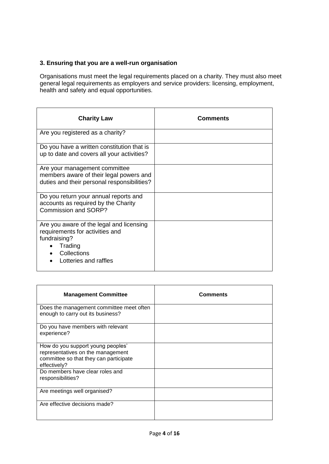#### **3. Ensuring that you are a well-run organisation**

Organisations must meet the legal requirements placed on a charity. They must also meet general legal requirements as employers and service providers: licensing, employment, health and safety and equal opportunities.

| <b>Charity Law</b>                                                                                                                             | <b>Comments</b> |
|------------------------------------------------------------------------------------------------------------------------------------------------|-----------------|
| Are you registered as a charity?                                                                                                               |                 |
| Do you have a written constitution that is<br>up to date and covers all your activities?                                                       |                 |
| Are your management committee<br>members aware of their legal powers and<br>duties and their personal responsibilities?                        |                 |
| Do you return your annual reports and<br>accounts as required by the Charity<br>Commission and SORP?                                           |                 |
| Are you aware of the legal and licensing<br>requirements for activities and<br>fundraising?<br>Trading<br>Collections<br>Lotteries and raffles |                 |

| <b>Management Committee</b>                                                                                                      | <b>Comments</b> |
|----------------------------------------------------------------------------------------------------------------------------------|-----------------|
| Does the management committee meet often<br>enough to carry out its business?                                                    |                 |
| Do you have members with relevant<br>experience?                                                                                 |                 |
| How do you support young peoples'<br>representatives on the management<br>committee so that they can participate<br>effectively? |                 |
| Do members have clear roles and<br>responsibilities?                                                                             |                 |
| Are meetings well organised?                                                                                                     |                 |
| Are effective decisions made?                                                                                                    |                 |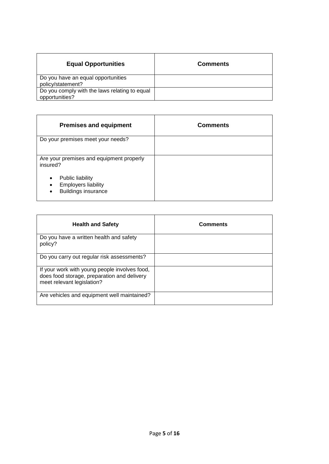| <b>Equal Opportunities</b>                                      | <b>Comments</b> |
|-----------------------------------------------------------------|-----------------|
| Do you have an equal opportunities<br>policy/statement?         |                 |
| Do you comply with the laws relating to equal<br>opportunities? |                 |

| <b>Premises and equipment</b>                                                                                      | <b>Comments</b> |
|--------------------------------------------------------------------------------------------------------------------|-----------------|
| Do your premises meet your needs?                                                                                  |                 |
| Are your premises and equipment properly<br>insured?                                                               |                 |
| <b>Public liability</b><br>$\bullet$<br><b>Employers liability</b><br>٠<br><b>Buildings insurance</b><br>$\bullet$ |                 |

| <b>Health and Safety</b>                                                                                                   | <b>Comments</b> |
|----------------------------------------------------------------------------------------------------------------------------|-----------------|
| Do you have a written health and safety<br>policy?                                                                         |                 |
| Do you carry out regular risk assessments?                                                                                 |                 |
| If your work with young people involves food,<br>does food storage, preparation and delivery<br>meet relevant legislation? |                 |
| Are vehicles and equipment well maintained?                                                                                |                 |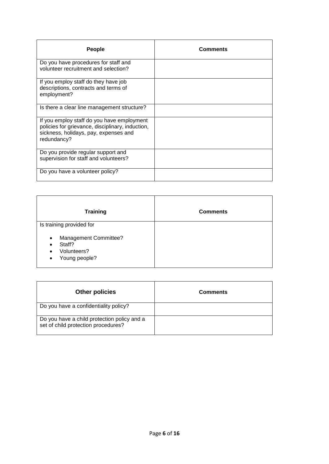| <b>People</b>                                                                                                                                          | <b>Comments</b> |
|--------------------------------------------------------------------------------------------------------------------------------------------------------|-----------------|
| Do you have procedures for staff and<br>volunteer recruitment and selection?                                                                           |                 |
| If you employ staff do they have job<br>descriptions, contracts and terms of<br>employment?                                                            |                 |
| Is there a clear line management structure?                                                                                                            |                 |
| If you employ staff do you have employment<br>policies for grievance, disciplinary, induction,<br>sickness, holidays, pay, expenses and<br>redundancy? |                 |
| Do you provide regular support and<br>supervision for staff and volunteers?                                                                            |                 |
| Do you have a volunteer policy?                                                                                                                        |                 |

| <b>Training</b>                                                                                                     | <b>Comments</b> |
|---------------------------------------------------------------------------------------------------------------------|-----------------|
| Is training provided for                                                                                            |                 |
| Management Committee?<br>$\bullet$<br>Staff?<br>$\bullet$<br>Volunteers?<br>$\bullet$<br>Young people?<br>$\bullet$ |                 |

| <b>Other policies</b>                                                              | <b>Comments</b> |
|------------------------------------------------------------------------------------|-----------------|
| Do you have a confidentiality policy?                                              |                 |
| Do you have a child protection policy and a<br>set of child protection procedures? |                 |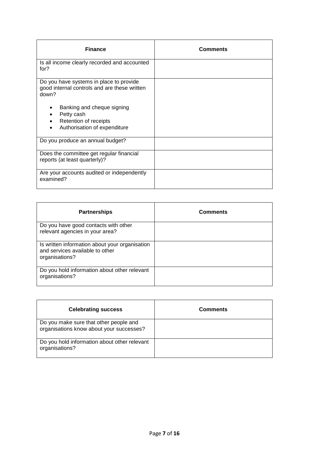| <b>Finance</b>                                                                                    | <b>Comments</b> |
|---------------------------------------------------------------------------------------------------|-----------------|
| Is all income clearly recorded and accounted<br>for?                                              |                 |
| Do you have systems in place to provide<br>good internal controls and are these written<br>down?  |                 |
| Banking and cheque signing<br>Petty cash<br>Retention of receipts<br>Authorisation of expenditure |                 |
| Do you produce an annual budget?                                                                  |                 |
| Does the committee get regular financial<br>reports (at least quarterly)?                         |                 |
| Are your accounts audited or independently<br>examined?                                           |                 |

| <b>Partnerships</b>                                                                                 | <b>Comments</b> |
|-----------------------------------------------------------------------------------------------------|-----------------|
| Do you have good contacts with other<br>relevant agencies in your area?                             |                 |
| Is written information about your organisation<br>and services available to other<br>organisations? |                 |
| Do you hold information about other relevant<br>organisations?                                      |                 |

| <b>Celebrating success</b>                                                         | <b>Comments</b> |
|------------------------------------------------------------------------------------|-----------------|
| Do you make sure that other people and<br>organisations know about your successes? |                 |
| Do you hold information about other relevant<br>organisations?                     |                 |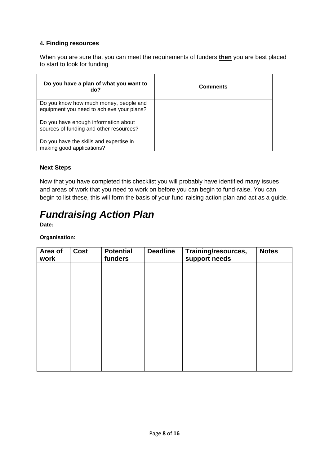#### **4. Finding resources**

When you are sure that you can meet the requirements of funders **then** you are best placed to start to look for funding

| Do you have a plan of what you want to<br>do?                                       | <b>Comments</b> |
|-------------------------------------------------------------------------------------|-----------------|
| Do you know how much money, people and<br>equipment you need to achieve your plans? |                 |
| Do you have enough information about<br>sources of funding and other resources?     |                 |
| Do you have the skills and expertise in<br>making good applications?                |                 |

#### **Next Steps**

Now that you have completed this checklist you will probably have identified many issues and areas of work that you need to work on before you can begin to fund-raise. You can begin to list these, this will form the basis of your fund-raising action plan and act as a guide.

# *Fundraising Action Plan*

**Date:** 

#### **Organisation:**

| Area of<br>work | Cost | <b>Potential</b><br>funders | <b>Deadline</b> | Training/resources,<br>support needs | <b>Notes</b> |
|-----------------|------|-----------------------------|-----------------|--------------------------------------|--------------|
|                 |      |                             |                 |                                      |              |
|                 |      |                             |                 |                                      |              |
|                 |      |                             |                 |                                      |              |
|                 |      |                             |                 |                                      |              |
|                 |      |                             |                 |                                      |              |
|                 |      |                             |                 |                                      |              |
|                 |      |                             |                 |                                      |              |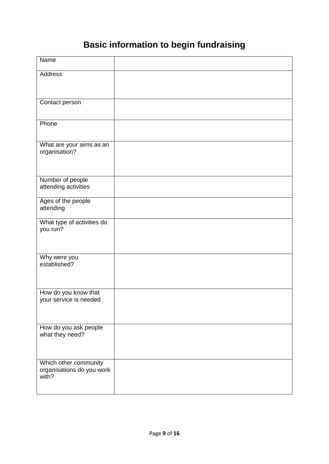# **Basic information to begin fundraising**

| Name                                                        |  |
|-------------------------------------------------------------|--|
| Address                                                     |  |
| Contact person                                              |  |
| Phone                                                       |  |
| What are your aims as an<br>organisation?                   |  |
| Number of people<br>attending activities                    |  |
| Ages of the people<br>attending                             |  |
| What type of activities do<br>you run?                      |  |
| Why were you<br>established?                                |  |
| How do you know that<br>your service is needed              |  |
| How do you ask people<br>what they need?                    |  |
| Which other community<br>organisations do you work<br>with? |  |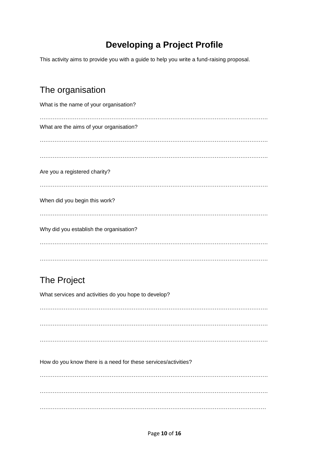### **Developing a Project Profile**

This activity aims to provide you with a guide to help you write a fund-raising proposal.

### The organisation

| What is the name of your organisation?  |
|-----------------------------------------|
| What are the aims of your organisation? |
|                                         |
|                                         |
| Are you a registered charity?           |
| When did you begin this work?           |
| Why did you establish the organisation? |
|                                         |

### The Project

What services and activities do you hope to develop? ……………………………………………………………………………………………………………. ……………………………………………………………………………………………………………. ……………………………………………………………………………………………………………. How do you know there is a need for these services/activities? ……………………………………………………………………………………………………………. ……………………………………………………………………………………………………………. ……………………………………………………………………………………………………………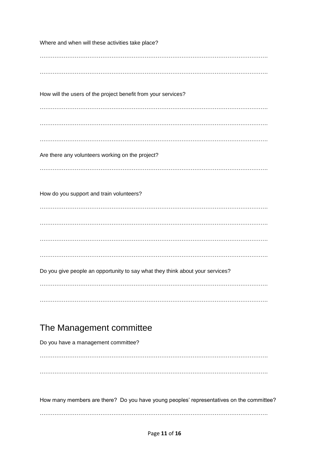Where and when will these activities take place? ……………………………………………………………………………………………………………. ……………………………………………………………………………………………………………. How will the users of the project benefit from your services? ……………………………………………………………………………………………………………. ……………………………………………………………………………………………………………. ……………………………………………………………………………………………………………. Are there any volunteers working on the project? ……………………………………………………………………………………………………………. How do you support and train volunteers? ……………………………………………………………………………………………………………. ……………………………………………………………………………………………………………. ……………………………………………………………………………………………………………. ……………………………………………………………………………………………………………. Do you give people an opportunity to say what they think about your services? ……………………………………………………………………………………………………………. ……………………………………………………………………………………………………………. The Management committee Do you have a management committee? ……………………………………………………………………………………………………………. ……………………………………………………………………………………………………………. How many members are there? Do you have young peoples' representatives on the committee? …………………………………………………………………………………………………………….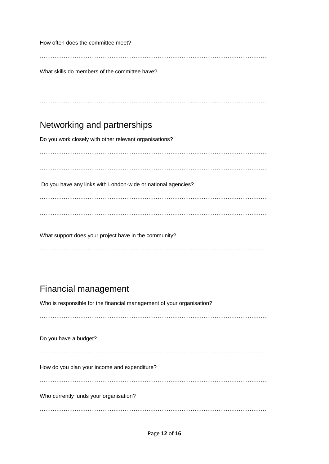How often does the committee meet?

……………………………………………………………………………………………………………. What skills do members of the committee have? …………………………………………………………………………………………………………….

### Networking and partnerships

Do you work closely with other relevant organisations?

……………………………………………………………………………………………………………. ……………………………………………………………………………………………………………. Do you have any links with London-wide or national agencies? ……………………………………………………………………………………………………………. ……………………………………………………………………………………………………………. What support does your project have in the community? …………………………………………………………………………………………………………….

## Financial management

Who is responsible for the financial management of your organisation?

…………………………………………………………………………………………………………….

…………………………………………………………………………………………………………….

Do you have a budget? ……………………………………………………………………………………………………………. How do you plan your income and expenditure? ……………………………………………………………………………………………………………. Who currently funds your organisation? …………………………………………………………………………………………………………….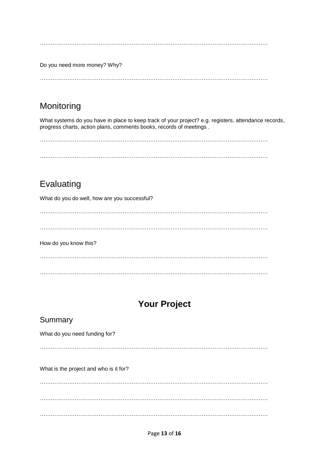…………………………………………………………………………………………………………….

Do you need more money? Why?

…………………………………………………………………………………………………………….

### Monitoring

What systems do you have in place to keep track of your project? e.g. registers, attendance records, progress charts, action plans, comments books, records of meetings .

…………………………………………………………………………………………………………….

…………………………………………………………………………………………………………….

### Evaluating

What do you do well, how are you successful?

……………………………………………………………………………………………………………. How do you know this? ……………………………………………………………………………………………………………. …………………………………………………………………………………………………………….

### **Your Project**

### Summary

What do you need funding for?

…………………………………………………………………………………………………………….

What is the project and who is it for?

……………………………………………………………………………………………………………. ……………………………………………………………………………………………………………. …………………………………………………………………………………………………………….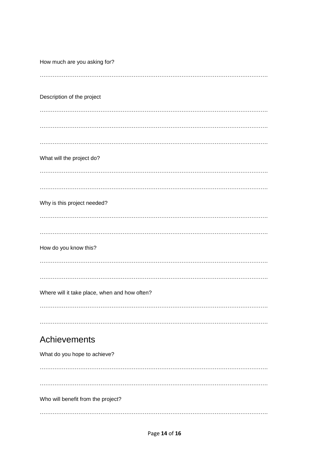How much are you asking for? Description of the project What will the project do? Why is this project needed? How do you know this? Where will it take place, when and how often? Achievements What do you hope to achieve? Who will benefit from the project?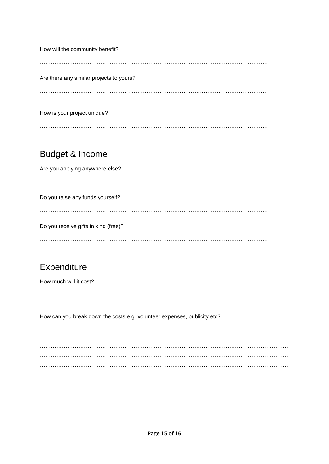How will the community benefit? ……………………………………………………………………………………………………………. Are there any similar projects to yours? …………………………………………………………………………………………………………….

How is your project unique?

### Budget & Income

Are you applying anywhere else?

…………………………………………………………………………………………………………….

Do you raise any funds yourself?

…………………………………………………………………………………………………………….

Do you receive gifts in kind (free)?

…………………………………………………………………………………………………………….

### **Expenditure**

How much will it cost?

…………………………………………………………………………………………………………….

How can you break down the costs e.g. volunteer expenses, publicity etc?

…………………………………………………………………………………………………………….

……………………………………………………………………………………………………………………… ……………………………………………………………………………………………………………………… ……………………………………………………………………………………………………………………… …………………………………………………………………………….